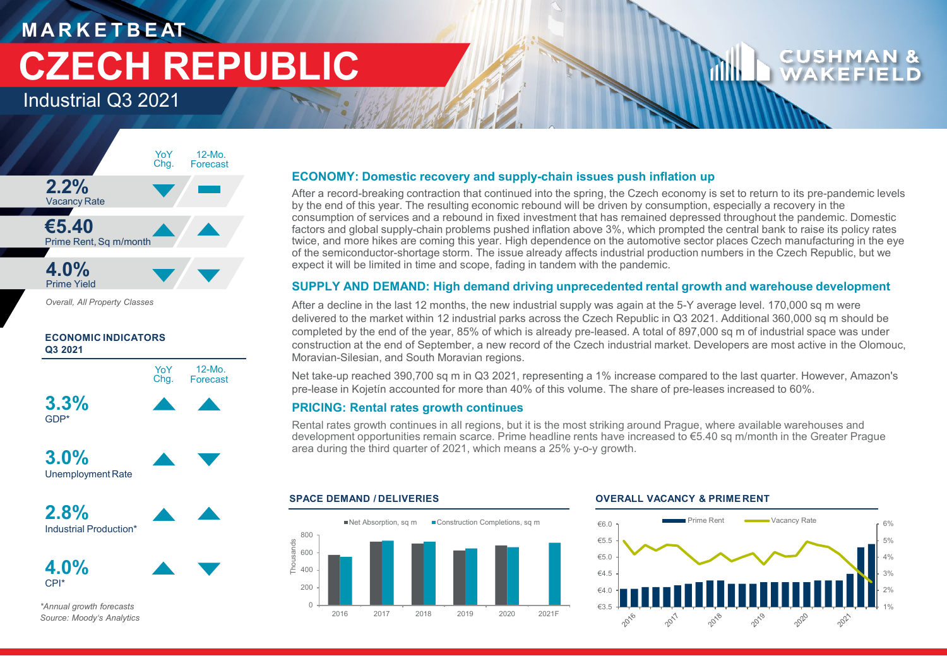# **M A R K E T B E AT CZECH REPUBLIC**

Industrial Q3 2021



*Overall, All Property Classes*







**4.0%** CPI\*

*\*Annual growth forecasts Source: Moody's Analytics*

## **ECONOMY: Domestic recovery and supply-chain issues push inflation up**

After a record-breaking contraction that continued into the spring, the Czech economy is set to return to its pre-pandemic levels by the end of this year. The resulting economic rebound will be driven by consumption, especially a recovery in the consumption of services and a rebound in fixed investment that has remained depressed throughout the pandemic. Domestic factors and global supply-chain problems pushed inflation above 3%, which prompted the central bank to raise its policy rates twice, and more hikes are coming this year. High dependence on the automotive sector places Czech manufacturing in the eye of the semiconductor-shortage storm. The issue already affects industrial production numbers in the Czech Republic, but we expect it will be limited in time and scope, fading in tandem with the pandemic.

### **SUPPLY AND DEMAND: High demand driving unprecedented rental growth and warehouse development**

After a decline in the last 12 months, the new industrial supply was again at the 5-Y average level. 170,000 sq m were delivered to the market within 12 industrial parks across the Czech Republic in Q3 2021. Additional 360,000 sq m should be completed by the end of the year, 85% of which is already pre-leased. A total of 897,000 sq m of industrial space was under construction at the end of September, a new record of the Czech industrial market. Developers are most active in the Olomouc, Moravian-Silesian, and South Moravian regions.

Net take-up reached 390,700 sq m in Q3 2021, representing a 1% increase compared to the last quarter. However, Amazon's pre-lease in Kojetín accounted for more than 40% of this volume. The share of pre-leases increased to 60%.

#### **PRICING: Rental rates growth continues**

Rental rates growth continues in all regions, but it is the most striking around Prague, where available warehouses and development opportunities remain scarce. Prime headline rents have increased to €5.40 sq m/month in the Greater Prague area during the third quarter of 2021, which means a 25% y-o-y growth.



#### **SPACE DEMAND / DELIVERIES OVERALL VACANCY & PRIME RENT**